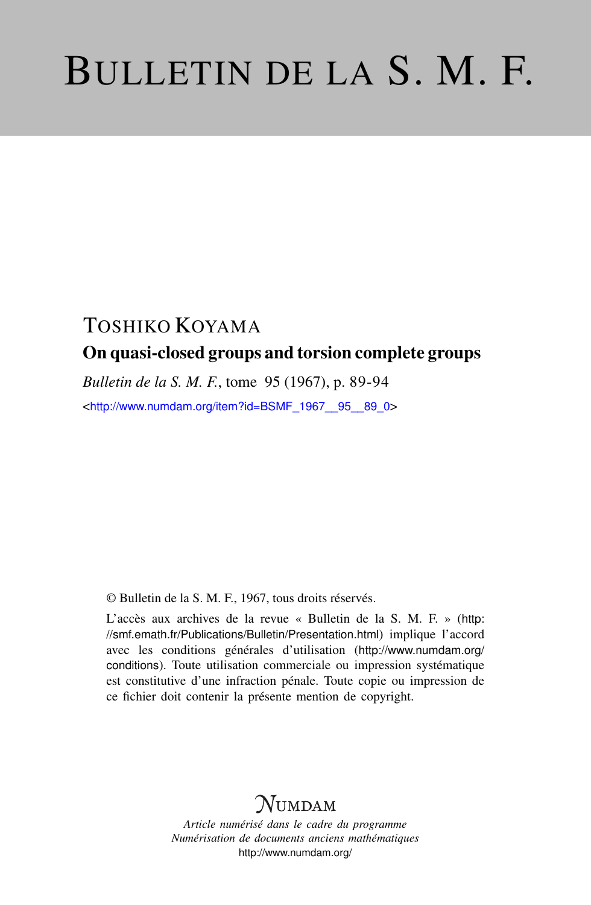# BULLETIN DE LA S. M. F.

# TOSHIKO KOYAMA On quasi-closed groups and torsion complete groups

*Bulletin de la S. M. F.*, tome 95 (1967), p. 89-94

<[http://www.numdam.org/item?id=BSMF\\_1967\\_\\_95\\_\\_89\\_0](http://www.numdam.org/item?id=BSMF_1967__95__89_0)>

© Bulletin de la S. M. F., 1967, tous droits réservés.

L'accès aux archives de la revue « Bulletin de la S. M. F. » ([http:](http://smf.emath.fr/Publications/Bulletin/Presentation.html) [//smf.emath.fr/Publications/Bulletin/Presentation.html](http://smf.emath.fr/Publications/Bulletin/Presentation.html)) implique l'accord avec les conditions générales d'utilisation ([http://www.numdam.org/](http://www.numdam.org/conditions) [conditions](http://www.numdam.org/conditions)). Toute utilisation commerciale ou impression systématique est constitutive d'une infraction pénale. Toute copie ou impression de ce fichier doit contenir la présente mention de copyright.

# NUMDAM

*Article numérisé dans le cadre du programme Numérisation de documents anciens mathématiques* <http://www.numdam.org/>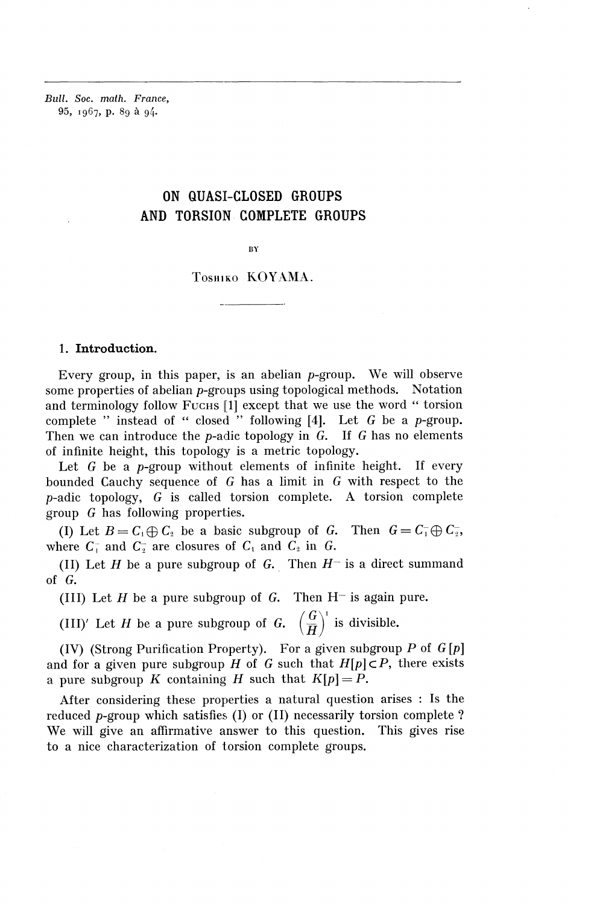*Bull. Soc. math. France,* **95,** 1967, p. 89 a 94.

# ON QUASI-CLOSED GROUPS AND TORSION COMPLETE GROUPS

#### RY

## TOSHIKO **KOYAMA.**

#### 1. Introduction.

Every group, in this paper, is an abelian p-group. We will observe some properties of abelian p-groups using topological methods. Notation and terminology follow FUCHS [1] except that we use the word " torsion complete " instead of " closed " following [4]. Let G be a p-group Then we can introduce the p-adic topology in G. If *G* has no elements of infinite height, this topology is a metric topology.

Let  $G$  be a *p*-group without elements of infinite height. If every bounded Cauchy sequence of *G* has a limit in *G* with respect to the p-adic topology, *G* is called torsion complete. A torsion complete group *G* has following properties.

(I) Let  $B=C_1\oplus C_2$  be a basic subgroup of G. Then  $G=C_1\oplus C_2$ , where  $C_1^-$  and  $C_2^-$  are closures of  $C_1$  and  $C_2$  in G.

(II) Let  $H$  be a pure subgroup of  $G$ . Then  $H^-$  is a direct summand of *G.*

(III) Let  $H$  be a pure subgroup of  $G$ . Then  $H^-$  is again pure.

(III) Let *H* be a pure subgroup of *G*. Then H<sup>-</sup> is again (III)' Let *H* be a pure subgroup of *G*.  $\left(\frac{G}{H}\right)^1$  is divisible.

(IV) (Strong Purification Property). For a given subgroup *P* of G [p] and for a given pure subgroup  $H$  of  $G$  such that  $H[p] \subset P$ , there exists a pure subgroup K containing H such that  $K[p] = P$ .

After considering these properties a natural question arises : Is the reduced p-group which satisfies (I) or (II) necessarily torsion complete ? We will give an affirmative answer to this question. This gives rise to a nice characterization of torsion complete groups.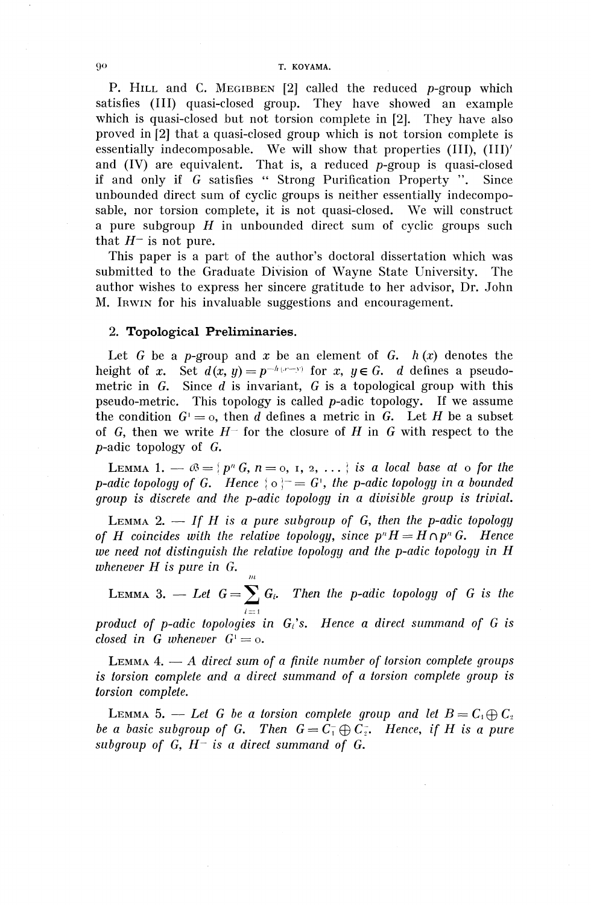#### 90 T. KOYAMA.

P. HILL and C. MEGIBBEN [2] called the reduced p-group which satisfies (III) quasi-closed group. They have showed an example which is quasi-closed but not torsion complete in [2]. They have also proved in [2] that a quasi-closed group which is not torsion complete is essentially indecomposable. We will show that properties (III), (III)' and  $(IV)$  are equivalent. That is, a reduced  $p$ -group is quasi-closed if and only if G satisfies " Strong Purification Property ". Since unbounded direct sum of cyclic groups is neither essentially indecomposable, nor torsion complete, it is not quasi-closed. We will construct a pure subgroup *H* in unbounded direct sum of cyclic groups such that  $H^-$  is not pure.

This paper is a part of the author's doctoral dissertation which was submitted to the Graduate Division of Wayne State University. The author wishes to express her sincere gratitude to her advisor, Dr. John M. IRWIN for his invaluable suggestions and encouragement.

#### **2. Topological Preliminaries.**

Let  $G$  be a p-group and  $x$  be an element of  $G$ .  $h(x)$  denotes the height of x. Set  $d(x, y) = p^{-h(x-y)}$  for x,  $y \in G$ . d defines a pseudometric in G. Since *d* is invariant, G is a topological group with this pseudo-metric. This topology is called p-adic topology. If we assume the condition  $G' = 0$ , then *d* defines a metric in G. Let *H* be a subset of G, then we write *H~* for the closure of *H* in G with respect to the p-adic topology of G.

LEMMA 1.  $-\infty = \{p^n G, n = \text{o}, \text{1}, \text{2}, \ldots\}$  is a local base at  $\text{o}$  for the *p-adic topology of G. Hence*  $\{ \circ \}^- = G$ , the *p-adic topology in a bounded group is discrete and the p-adic topology in a divisible group is trivial.*

LEMMA 2. — *If H is a pure subgroup of G, then the p-adic topology of H coincides with the relative topology, since*  $p^n H = H \cap p^n G$ *. Hence we need not distinguish the relative topology and the p-adic topology in H whenever H is pure in* G. *f/i*

LEMMA 3. — Let  $G = \sum_{i=1}^{m} G_i$ . Then the p-adic topology of G is the *i=-i*

*product of p-adic topologies in Gi's, Hence a direct summand of G is*  $closed \text{ in } G \text{ whenever } G^1 = \text{o.}$ 

LEMMA 4. — A *direct sum of a finite number of torsion complete groups is torsion complete and a direct summand of a torsion complete group is torsion complete.*

LEMMA 5. — Let G be a torsion complete group and let  $B = C_1 \oplus C_2$ *be a basic subgroup of G. Then*  $G = C_1 \oplus C_2$ . Hence, if H is a pure *subgroup of* G, *H~ is a direct summand of* G.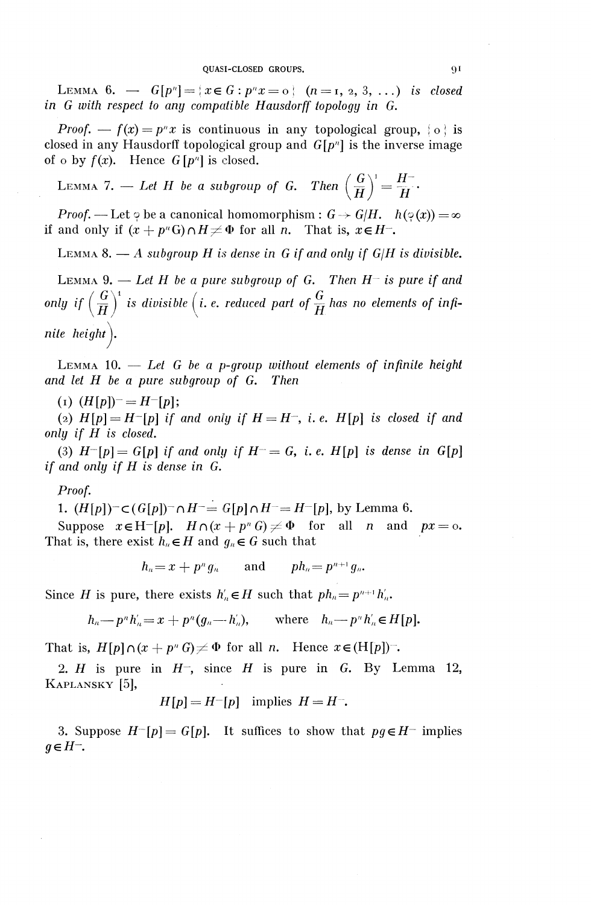LEMMA 6.  $\rightarrow$   $G[p^n] = \{x \in G : p^n x = o\}$   $(n = 1, 2, 3, ...)$  *is closed in G with respect to any compatible Hausdorff topology in* G.

*Proof.* —  $f(x) = p^n x$  is continuous in any topological group,  $\{o\}$  is closed in any Hausdorff topological group and  $G[p^n]$  is the inverse image of o by  $f(x)$ . Hence  $G[p^n]$  is closed.

*(*  $f^{(1)} = H^-$ LEMMA 7. — Let H be a subgroup of G. Then  $\left(\frac{\alpha}{H}\right) = \frac{H}{H}$ .

*Proof.* — Let  $\varphi$  be a canonical homomorphism :  $G \to G/H$ .  $h(\varphi(x)) = \infty$ if and only if  $(x + p^n G) \cap H \neq \Phi$  for all *n*. That is,  $x \in H$ <sup>-</sup>.

LEMMA 8. — A *subgroup H is dense in G if and only if G/H is divisible.*

LEMMA  $9.$  - Let H be a pure subgroup of G. Then  $H^-$  is pure if and only if  $\left(\frac{G}{H}\right)^i$  is divisible (i. e. reduced part of  $\frac{G}{H}$  has no elements of infi*nite height^.*

LEMMA 10. — *Let G be a p-group without elements of infinite height and let H be a pure subgroup of G. Then*

(1) *(H[p])-=H-[p];*

(2)  $H[p]=H-[p]$  if and only if  $H=H^-$ , i.e.  $H[p]$  is closed if and *only if H is closed.*

(3)  $H^{-}[p] = G[p]$  if and only if  $H^{-} = G$ , i. e.  $H[p]$  is dense in  $G[p]$ *if and only if H is dense in G.*

## *Proof.*

1.  $(H[p])^{\dagger} \subset (G[p])^{\dagger} \cap H^{\dagger} = G[p] \cap H^{\dagger} = H^{\dagger}[p]$ , by Lemma 6.

Suppose  $x \in H^{-}[p]$ .  $H \cap (x + p^n G) \neq \Phi$  for all *n* and  $px = 0$ . That is, there exist  $h_n \in H$  and  $g_n \in G$  such that

$$
h_n = x + p^n g_n \qquad \text{and} \qquad ph_n = p^{n+1} g_n.
$$

Since *H* is pure, there exists  $h'_n \in H$  such that  $ph_n = p^{n+1}h'_n$ .

$$
h_n\text{-}p^n h'_n=x+p^n(g_n-h'_n),\qquad\text{where}\quad h_n\text{-}p^n h'_n\in H[p].
$$

That is,  $H[p] \cap (x + p^n G) \neq \Phi$  for all *n*. Hence  $x \in (H[p])^{\perp}$ .

2. *H* is pure in *H~,* since *H* is pure in *G.* By Lemma 12, KAPLANSKY [5],

$$
H[p] = H^{-}[p] \text{ implies } H = H^{-}.
$$

3. Suppose  $H^{-}[p] = G[p]$ . It suffices to show that  $pq \in H^{-}$  implies *geH-.*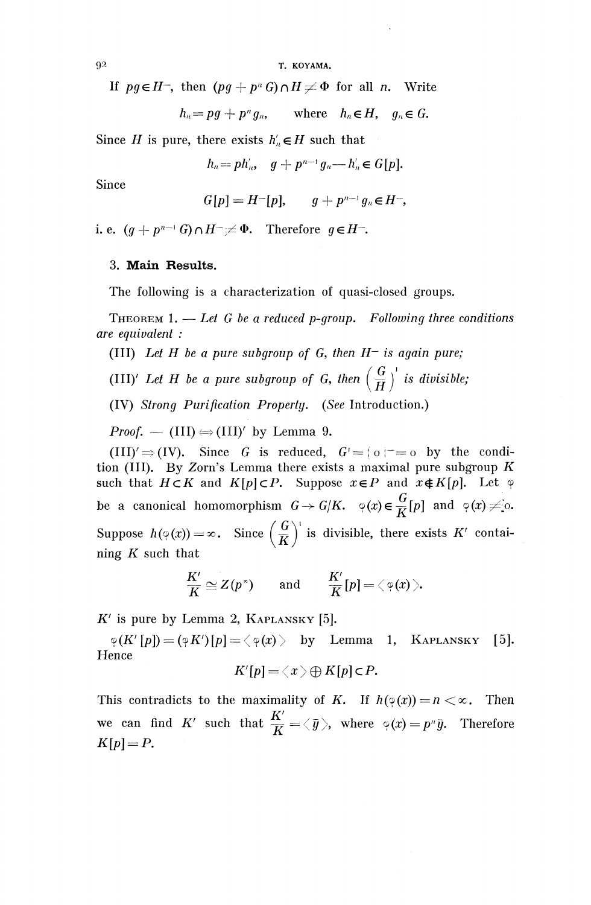T. KOYAMA.

If  $pg \in H^-$ , then  $(pg + p^n G) \cap H \neq \Phi$  for all *n*. Write

 $h_n = pg + p^n g_n$ , where  $h_n \in H$ ,  $g_n \in G$ .

Since H is pure, there exists  $h'_n \in H$  such that

 $h_n = p h'_n, \quad g + p^{n-1} g_n - h'_n \in G[p].$ 

Since

 $G[p] = H^{-}[p], \quad q + p^{n-1}q_n \in H^{-},$ 

i. e.  $(g + p^{n-1} G) \cap H^- \neq \Phi$ . Therefore  $g \in H^-$ .

## **3. Main Results.**

The following is a characterization of quasi-closed groups.

THEOREM 1. — *Let G be a reduced p-group. Following three conditions are equivalent :*

(III) *Let H be a pure subgroup of G, then H~ is again pure;*

(III)<sup> $\prime$ </sup> Let H be a pure subgroup of G, then  $\left(\frac{G}{H}\right)^{1}$  is divisible;

(IV) *Strong Purification Properly. (See* Introduction.)

*Proof.* — (III)  $\Leftrightarrow$  (III)' by Lemma 9.

(III)' $\Rightarrow$ (IV). Since *G* is reduced,  $G' = \{o\}^- = o$  by the condition (III). By Zorn's Lemma there exists a maximal pure subgroup *K* such that  $H \subset K$  and  $K[p] \subset P$ . Suppose  $x \in P$  and  $x \notin K[p]$ . Let  $\varphi$ *be a canonical homomorphism*  $G \rightarrow G/K$ *.*  $\varphi(x) \in \frac{G}{L}[p]$  and  $\varphi(x) \neq$  o. Suppose  $h(\varphi(x)) = \infty$ . Since  $\left(\frac{G}{K}\right)^{T}$  is divisible, there exists K' contai- $G \setminus V$ ning *K* such that

$$
\frac{K'}{K}\cong Z(p^*)\qquad\text{and}\qquad \frac{K'}{K}[p]=\langle\,\text{\textdegree}(\text{$x$})\,\rangle.
$$

 $K'$  is pure by Lemma 2, KAPLANSKY [5].

 $\varphi(K'[p]) = (\varphi K')[p] = \langle \varphi(x) \rangle$  by Lemma 1, KAPLANSKY [5]. Hence *f*

$$
K'[p] = \langle x \rangle \oplus K[p] \subset P.
$$

This contradicts to the maximality of *K*. If  $h(\varphi(x)) = n < \infty$ . Then we can find  $K'$  such that  $\frac{K'}{K'} = \langle \bar{y} \rangle$ , where  $\varphi(x) = p^n \bar{y}$ . Therefore *K[p]=P.*

9 2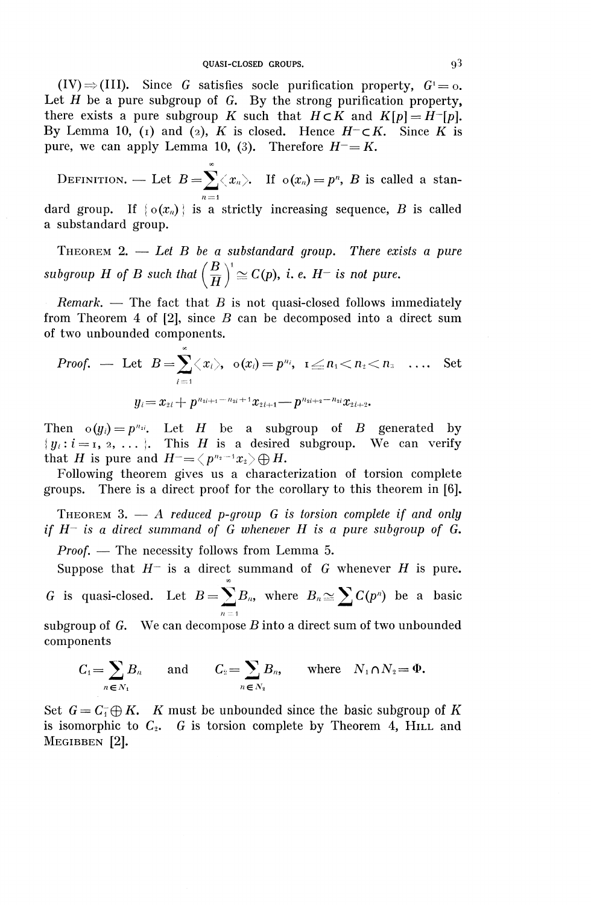$(V) \Rightarrow (III)$ . Since *G* satisfies socle purification property,  $G^1 = 0$ . Let *H* be a pure subgroup of *G.* By the strong purification property, there exists a pure subgroup K such that  $H \subset K$  and  $K[p] = H^{-}[p]$ . By Lemma 10, (i) and (2), *K* is closed. Hence  $H^- \subset K$ . Since *K* is pure, we can apply Lemma 10, (3). Therefore  $H = K$ .

DEFINITION. — Let  $B=\sum_{n\leq x_n}^{\infty}$ . If  $\sigma(x_n)=p^n$ , *B* is called a stan $n = 1$ 

dard group. If  $\{o(x_n)\}\)$  is a strictly increasing sequence, *B* is called a substandard group.

THEOREM 2. — *Let B be a substandard group. There exists a pure* **(B**) **(B**) **(B**) **(B**) **(B**) **(B**) **(B**) **(C(p)**, **i. e.**  $H^-$  is not pure.

*Remark. —* The fact that *B* is not quasi-closed follows immediately from Theorem 4 of [2], since *B* can be decomposed into a direct sum of two unbounded components.

*Proof.* — Let 
$$
B = \sum_{i=1} \langle x_i \rangle
$$
,  $\mathbf{o}(x_i) = p^{n_i}$ ,  $1 \leq n_1 < n_2 < n_3$  .... Set  

$$
y_i = x_{2i} + p^{n_{2i+1} - n_{2i} + 1} x_{2i+1} - p^{n_{2i+2} - n_{2i}} x_{2i+2}.
$$

Then  $o(y_i) = p^{n_{2i}}$ . Let H be a subgroup of B generated by  ${y_i : i = 1, 2, ... }$ . This *H* is a desired subgroup. We can verify that *H* is pure and  $H = \langle p^{n_2-1}x_2 \rangle \bigoplus H$ .

Following theorem gives us a characterization of torsion complete groups. There is a direct proof for the corollary to this theorem in [6].

THEOREM 3. — A *reduced p-group G is torsion complete if and only if H~ is a direct summand of G whenever H is a pure subgroup of G.*

*Proof. —* The necessity follows from Lemma 5.

Suppose that  $H^-$  is a direct summand of  $G$  whenever  $H$  is pure. *G* is quasi-closed. Let  $B=\sum B_n$ , where  $B_n \cong \sum C(p^n)$  be a basic  $n =$ 

subgroup of *G.* We can decompose *B* into a direct sum of two unbounded components

$$
C_1 = \sum_{n \in N_1} B_n \quad \text{and} \quad C_2 = \sum_{n \in N_2} B_n, \quad \text{where} \quad N_1 \cap N_2 = \Phi.
$$

Set  $G = C_1 \oplus K$ . *K* must be unbounded since the basic subgroup of *K* is isomorphic to  $C_2$ . G is torsion complete by Theorem 4, HILL and MEGIBBEN [2].